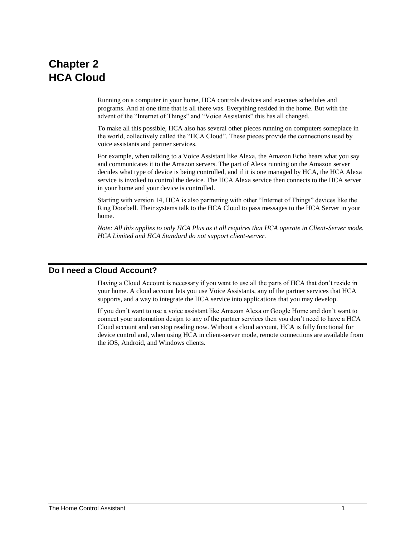# **Chapter 2 HCA Cloud**

Running on a computer in your home, HCA controls devices and executes schedules and programs. And at one time that is all there was. Everything resided in the home. But with the advent of the "Internet of Things" and "Voice Assistants" this has all changed.

To make all this possible, HCA also has several other pieces running on computers someplace in the world, collectively called the "HCA Cloud". These pieces provide the connections used by voice assistants and partner services.

For example, when talking to a Voice Assistant like Alexa, the Amazon Echo hears what you say and communicates it to the Amazon servers. The part of Alexa running on the Amazon server decides what type of device is being controlled, and if it is one managed by HCA, the HCA Alexa service is invoked to control the device. The HCA Alexa service then connects to the HCA server in your home and your device is controlled.

Starting with version 14, HCA is also partnering with other "Internet of Things" devices like the Ring Doorbell. Their systems talk to the HCA Cloud to pass messages to the HCA Server in your home.

*Note: All this applies to only HCA Plus as it all requires that HCA operate in Client-Server mode. HCA Limited and HCA Standard do not support client-server.*

# **Do I need a Cloud Account?**

Having a Cloud Account is necessary if you want to use all the parts of HCA that don't reside in your home. A cloud account lets you use Voice Assistants, any of the partner services that HCA supports, and a way to integrate the HCA service into applications that you may develop.

If you don't want to use a voice assistant like Amazon Alexa or Google Home and don't want to connect your automation design to any of the partner services then you don't need to have a HCA Cloud account and can stop reading now. Without a cloud account, HCA is fully functional for device control and, when using HCA in client-server mode, remote connections are available from the iOS, Android, and Windows clients.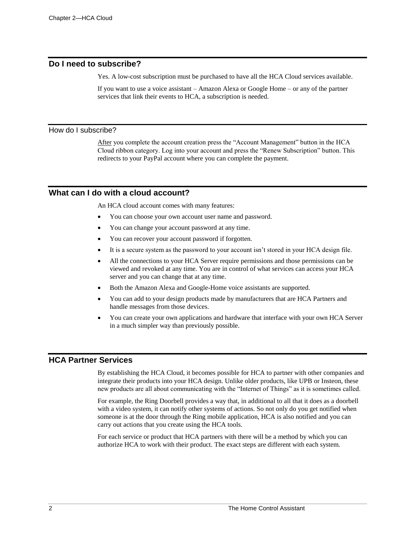### **Do I need to subscribe?**

Yes. A low-cost subscription must be purchased to have all the HCA Cloud services available.

If you want to use a voice assistant – Amazon Alexa or Google Home – or any of the partner services that link their events to HCA, a subscription is needed.

#### How do I subscribe?

After you complete the account creation press the "Account Management" button in the HCA Cloud ribbon category. Log into your account and press the "Renew Subscription" button. This redirects to your PayPal account where you can complete the payment.

# **What can I do with a cloud account?**

An HCA cloud account comes with many features:

- You can choose your own account user name and password.
- You can change your account password at any time.
- You can recover your account password if forgotten.
- It is a secure system as the password to your account isn't stored in your HCA design file.
- All the connections to your HCA Server require permissions and those permissions can be viewed and revoked at any time. You are in control of what services can access your HCA server and you can change that at any time.
- Both the Amazon Alexa and Google-Home voice assistants are supported.
- You can add to your design products made by manufacturers that are HCA Partners and handle messages from those devices.
- You can create your own applications and hardware that interface with your own HCA Server in a much simpler way than previously possible.

# **HCA Partner Services**

By establishing the HCA Cloud, it becomes possible for HCA to partner with other companies and integrate their products into your HCA design. Unlike older products, like UPB or Insteon, these new products are all about communicating with the "Internet of Things" as it is sometimes called.

For example, the Ring Doorbell provides a way that, in additional to all that it does as a doorbell with a video system, it can notify other systems of actions. So not only do you get notified when someone is at the door through the Ring mobile application, HCA is also notified and you can carry out actions that you create using the HCA tools.

For each service or product that HCA partners with there will be a method by which you can authorize HCA to work with their product. The exact steps are different with each system.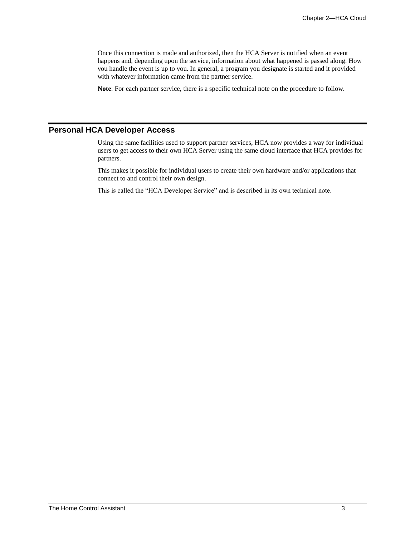Once this connection is made and authorized, then the HCA Server is notified when an event happens and, depending upon the service, information about what happened is passed along. How you handle the event is up to you. In general, a program you designate is started and it provided with whatever information came from the partner service.

**Note**: For each partner service, there is a specific technical note on the procedure to follow.

# **Personal HCA Developer Access**

Using the same facilities used to support partner services, HCA now provides a way for individual users to get access to their own HCA Server using the same cloud interface that HCA provides for partners.

This makes it possible for individual users to create their own hardware and/or applications that connect to and control their own design.

This is called the "HCA Developer Service" and is described in its own technical note.